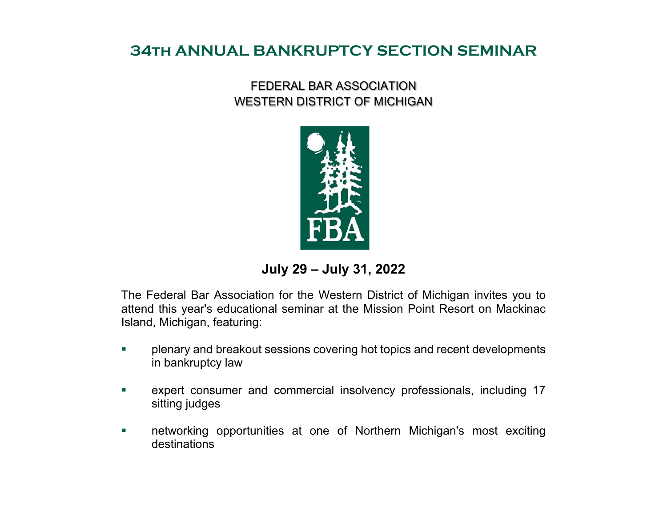## **34th ANNUAL BANKRUPTCY SECTION SEMINAR**

## FEDERAL BAR ASSOCIATION WESTERN DISTRICT OF MICHIGAN



**July 29 – July 31, 2022**

The Federal Bar Association for the Western District of Michigan invites you to attend this year's educational seminar at the Mission Point Resort on Mackinac Island, Michigan, featuring:

- $\mathcal{L}_{\mathcal{A}}$  plenary and breakout sessions covering hot topics and recent developments in bankruptcy law
- $\mathcal{L}_{\mathcal{A}}$  expert consumer and commercial insolvency professionals, including 17 sitting judges
- $\mathcal{L}_{\mathcal{A}}$  networking opportunities at one of Northern Michigan's most exciting destinations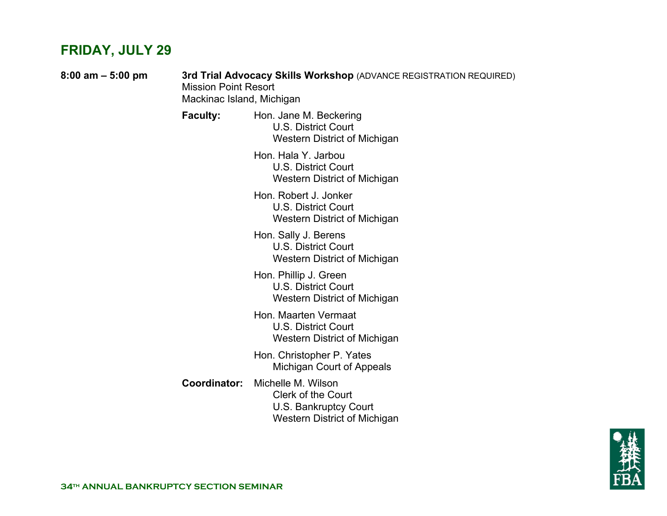# **FRIDAY, JULY 29**

| $8:00$ am $-5:00$ pm | 3rd Trial Advocacy Skills Workshop (ADVANCE REGISTRATION REQUIRED)<br><b>Mission Point Resort</b><br>Mackinac Island, Michigan |                                                                                                          |
|----------------------|--------------------------------------------------------------------------------------------------------------------------------|----------------------------------------------------------------------------------------------------------|
|                      | <b>Faculty:</b>                                                                                                                | Hon. Jane M. Beckering<br><b>U.S. District Court</b><br>Western District of Michigan                     |
|                      |                                                                                                                                | Hon. Hala Y. Jarbou<br>U.S. District Court<br>Western District of Michigan                               |
|                      |                                                                                                                                | Hon. Robert J. Jonker<br><b>U.S. District Court</b><br>Western District of Michigan                      |
|                      |                                                                                                                                | Hon. Sally J. Berens<br><b>U.S. District Court</b><br>Western District of Michigan                       |
|                      |                                                                                                                                | Hon. Phillip J. Green<br><b>U.S. District Court</b><br>Western District of Michigan                      |
|                      |                                                                                                                                | Hon. Maarten Vermaat<br><b>U.S. District Court</b><br>Western District of Michigan                       |
|                      |                                                                                                                                | Hon. Christopher P. Yates<br>Michigan Court of Appeals                                                   |
|                      | <b>Coordinator:</b>                                                                                                            | Michelle M. Wilson<br><b>Clerk of the Court</b><br>U.S. Bankruptcy Court<br>Western District of Michigan |

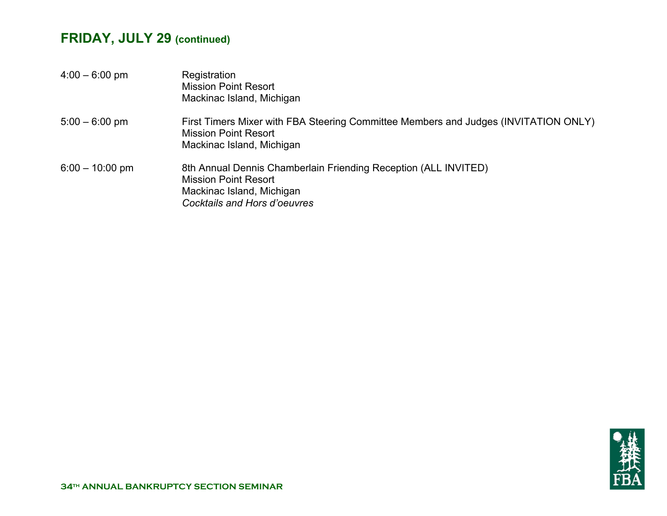# **FRIDAY, JULY 29 (continued)**

| $4:00 - 6:00$ pm  | Registration<br><b>Mission Point Resort</b><br>Mackinac Island, Michigan                                                                                    |
|-------------------|-------------------------------------------------------------------------------------------------------------------------------------------------------------|
| $5:00 - 6:00$ pm  | First Timers Mixer with FBA Steering Committee Members and Judges (INVITATION ONLY)<br><b>Mission Point Resort</b><br>Mackinac Island, Michigan             |
| $6:00 - 10:00$ pm | 8th Annual Dennis Chamberlain Friending Reception (ALL INVITED)<br><b>Mission Point Resort</b><br>Mackinac Island, Michigan<br>Cocktails and Hors d'oeuvres |

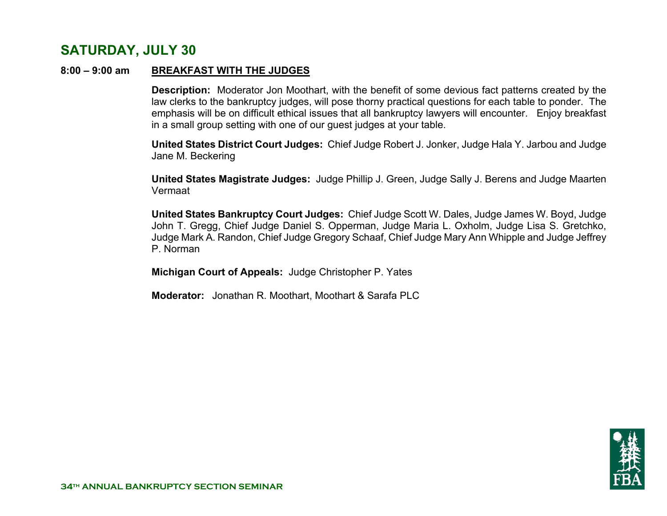## **SATURDAY, JULY 30**

#### **8:00 – 9:00 am BREAKFAST WITH THE JUDGES**

 **Description:** Moderator Jon Moothart, with the benefit of some devious fact patterns created by the law clerks to the bankruptcy judges, will pose thorny practical questions for each table to ponder. The emphasis will be on difficult ethical issues that all bankruptcy lawyers will encounter. Enjoy breakfast in a small group setting with one of our guest judges at your table.

**United States District Court Judges:** Chief Judge Robert J. Jonker, Judge Hala Y. Jarbou and Judge Jane M. Beckering

**United States Magistrate Judges:** Judge Phillip J. Green, Judge Sally J. Berens and Judge Maarten Vermaat

**United States Bankruptcy Court Judges:** Chief Judge Scott W. Dales, Judge James W. Boyd, Judge John T. Gregg, Chief Judge Daniel S. Opperman, Judge Maria L. Oxholm, Judge Lisa S. Gretchko, Judge Mark A. Randon, Chief Judge Gregory Schaaf, Chief Judge Mary Ann Whipple and Judge Jeffrey P. Norman

**Michigan Court of Appeals:** Judge Christopher P. Yates

 **Moderator:** Jonathan R. Moothart, Moothart & Sarafa PLC

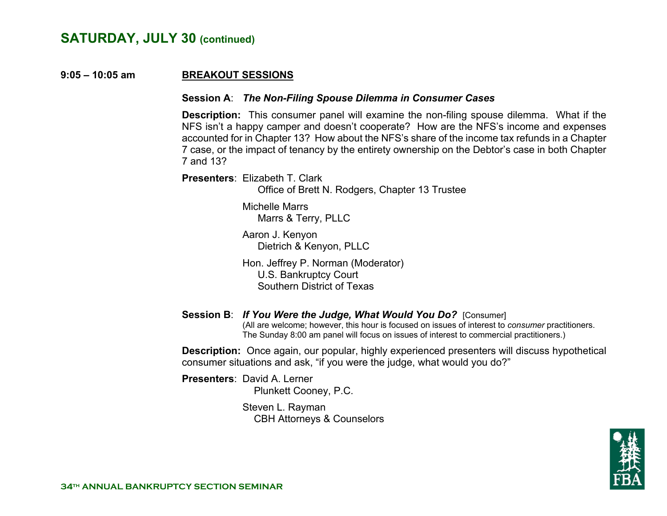#### **9:05 – 10:05 amBREAKOUT SESSIONS**

#### **Session A**: *The Non-Filing Spouse Dilemma in Consumer Cases*

 **Description:** This consumer panel will examine the non-filing spouse dilemma. What if the NFS isn't a happy camper and doesn't cooperate? How are the NFS's income and expenses accounted for in Chapter 13? How about the NFS's share of the income tax refunds in a Chapter 7 case, or the impact of tenancy by the entirety ownership on the Debtor's case in both Chapter 7 and 13?

 **Presenters**: Elizabeth T. Clark

Office of Brett N. Rodgers, Chapter 13 Trustee

 Michelle Marrs Marrs & Terry, PLLC

 Aaron J. Kenyon Dietrich & Kenyon, PLLC

 Hon. Jeffrey P. Norman (Moderator) U.S. Bankruptcy Court Southern District of Texas

## **Session B**: *If You Were the Judge, What Would You Do?* [Consumer]

(All are welcome; however, this hour is focused on issues of interest to *consumer* practitioners. The Sunday 8:00 am panel will focus on issues of interest to commercial practitioners.)

**Description:** Once again, our popular, highly experienced presenters will discuss hypothetical consumer situations and ask, "if you were the judge, what would you do?"

 **Presenters**: David A. Lerner Plunkett Cooney, P.C.

> Steven L. Rayman CBH Attorneys & Counselors

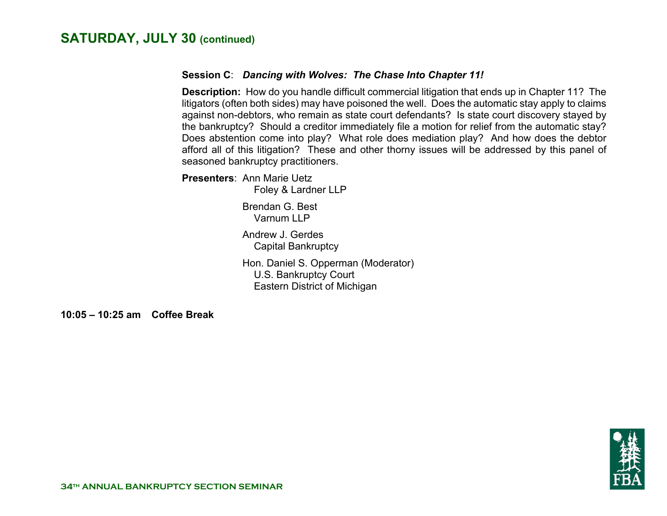#### **Session C**: *Dancing with Wolves: The Chase Into Chapter 11!*

**Description:** How do you handle difficult commercial litigation that ends up in Chapter 11? The litigators (often both sides) may have poisoned the well. Does the automatic stay apply to claims against non-debtors, who remain as state court defendants? Is state court discovery stayed by the bankruptcy? Should a creditor immediately file a motion for relief from the automatic stay? Does abstention come into play? What role does mediation play? And how does the debtor afford all of this litigation? These and other thorny issues will be addressed by this panel of seasoned bankruptcy practitioners.

**Presenters**: Ann Marie Uetz

Foley & Lardner LLP

 Brendan G. Best Varnum LLP

 Andrew J. Gerdes Capital Bankruptcy

Hon. Daniel S. Opperman (Moderator) U.S. Bankruptcy Court Eastern District of Michigan

**10:05 – 10:25 am Coffee Break** 

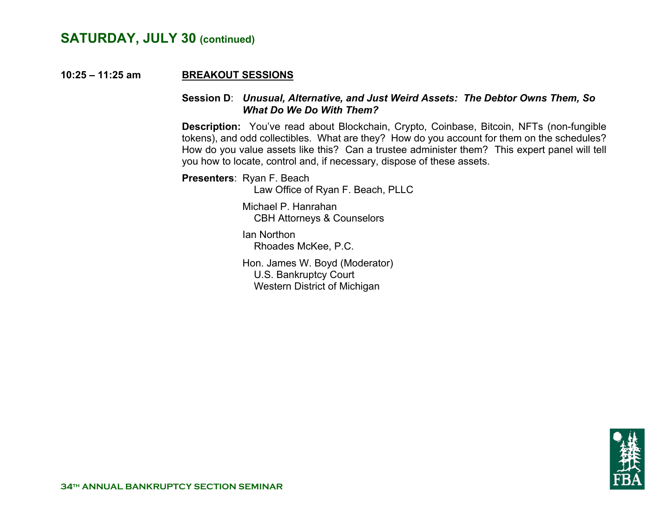#### **10:25 – 11:25 amBREAKOUT SESSIONS**

#### **Session D**: *Unusual, Alternative, and Just Weird Assets: The Debtor Owns Them, So What Do We Do With Them?*

**Description:** You've read about Blockchain, Crypto, Coinbase, Bitcoin, NFTs (non-fungible tokens), and odd collectibles. What are they? How do you account for them on the schedules? How do you value assets like this? Can a trustee administer them? This expert panel will tell you how to locate, control and, if necessary, dispose of these assets.

**Presenters**: Ryan F. Beach

Law Office of Ryan F. Beach, PLLC

 Michael P. Hanrahan CBH Attorneys & Counselors

 Ian Northon Rhoades McKee, P.C.

 Hon. James W. Boyd (Moderator) U.S. Bankruptcy Court Western District of Michigan

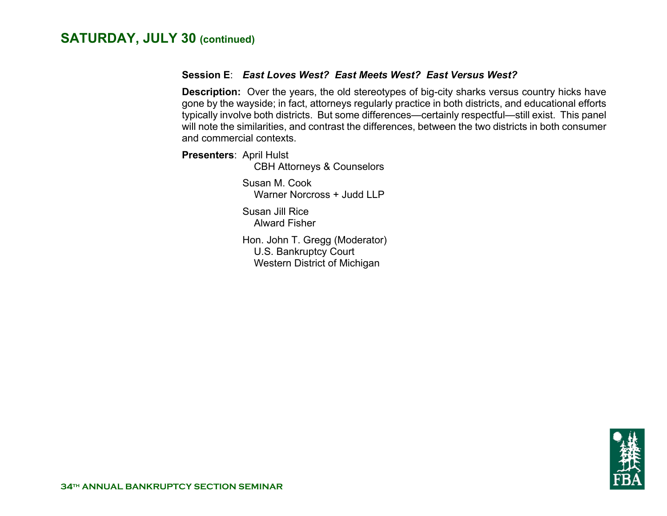#### **Session E**: *East Loves West? East Meets West? East Versus West?*

**Description:** Over the years, the old stereotypes of big-city sharks versus country hicks have gone by the wayside; in fact, attorneys regularly practice in both districts, and educational efforts typically involve both districts. But some differences—certainly respectful—still exist. This panel will note the similarities, and contrast the differences, between the two districts in both consumer and commercial contexts.

**Presenters**: April Hulst

CBH Attorneys & Counselors

 Susan M. Cook Warner Norcross + Judd LLP

 Susan Jill Rice Alward Fisher

 Hon. John T. Gregg (Moderator) U.S. Bankruptcy Court Western District of Michigan

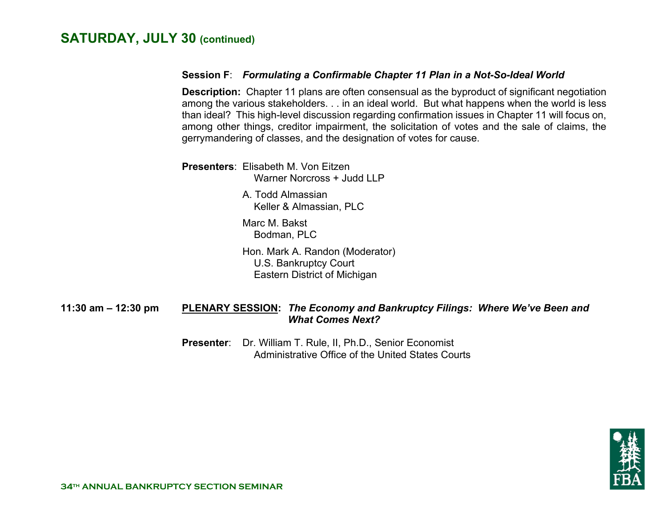#### **Session F**: *Formulating a Confirmable Chapter 11 Plan in a Not-So-Ideal World*

**Description:** Chapter 11 plans are often consensual as the byproduct of significant negotiation among the various stakeholders. . . in an ideal world. But what happens when the world is less than ideal? This high-level discussion regarding confirmation issues in Chapter 11 will focus on, among other things, creditor impairment, the solicitation of votes and the sale of claims, the gerrymandering of classes, and the designation of votes for cause.

**Presenters**: Elisabeth M. Von EitzenWarner Norcross + Judd LLP

> A. Todd Almassian Keller & Almassian, PLC

 Marc M. Bakst Bodman, PLC

 Hon. Mark A. Randon (Moderator) U.S. Bankruptcy Court Eastern District of Michigan

#### **11:30 am – 12:30 pm PLENARY SESSION:** *The Economy and Bankruptcy Filings: Where We've Been and What Comes Next?*

**Presenter**: Dr. William T. Rule, II, Ph.D., Senior Economist Administrative Office of the United States Courts

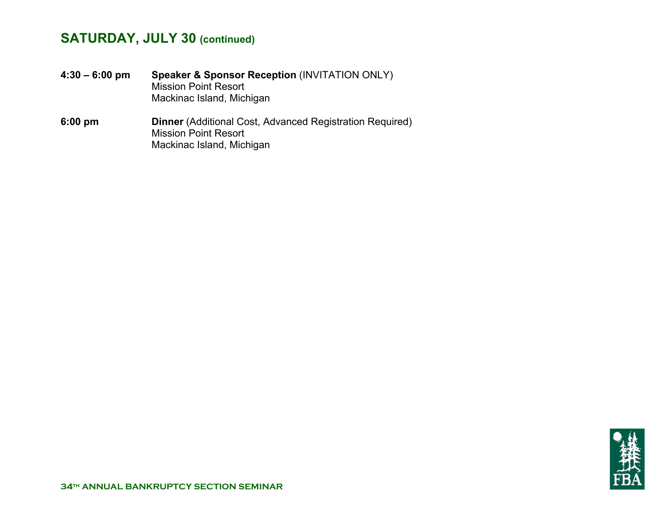**4:30 – 6:00 pm Speaker & Sponsor Reception** (INVITATION ONLY) Mission Point Resort Mackinac Island, Michigan **6:00 pm Dinner** (Additional Cost, Advanced Registration Required) Mission Point Resort Mackinac Island, Michigan

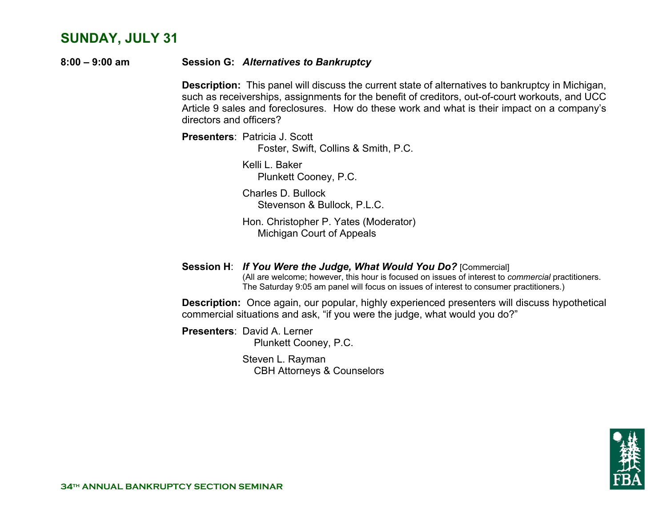## **SUNDAY, JULY 31**

**8:00 – 9:00 am Session G:** *Alternatives to Bankruptcy*

**Description:** This panel will discuss the current state of alternatives to bankruptcy in Michigan, such as receiverships, assignments for the benefit of creditors, out-of-court workouts, and UCC Article 9 sales and foreclosures. How do these work and what is their impact on a company's directors and officers?

**Presenters**: Patricia J. Scott Foster, Swift, Collins & Smith, P.C.

> Kelli L. Baker Plunkett Cooney, P.C.

 Charles D. Bullock Stevenson & Bullock, P.L.C.

 Hon. Christopher P. Yates (Moderator) Michigan Court of Appeals

 **Session H**: *If You Were the Judge, What Would You Do?* [Commercial] (All are welcome; however, this hour is focused on issues of interest to *commercial* practitioners. The Saturday 9:05 am panel will focus on issues of interest to consumer practitioners.)

**Description:** Once again, our popular, highly experienced presenters will discuss hypothetical commercial situations and ask, "if you were the judge, what would you do?"

 **Presenters**: David A. Lerner

Plunkett Cooney, P.C.

 Steven L. Rayman CBH Attorneys & Counselors

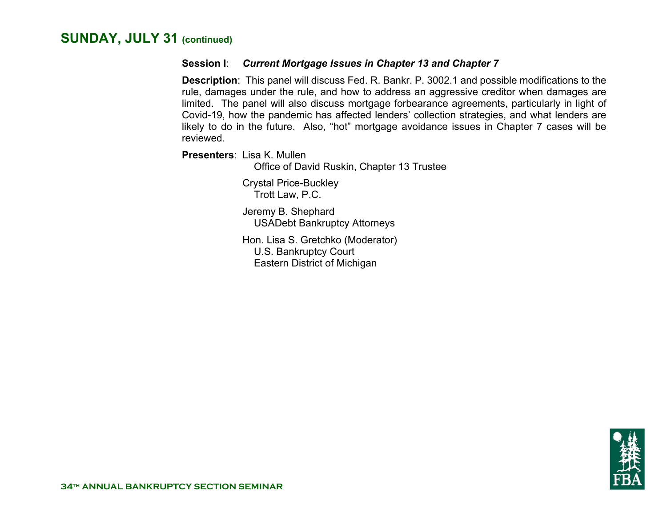#### **Session I**: *Current Mortgage Issues in Chapter 13 and Chapter 7*

**Description**: This panel will discuss Fed. R. Bankr. P. 3002.1 and possible modifications to the rule, damages under the rule, and how to address an aggressive creditor when damages are limited. The panel will also discuss mortgage forbearance agreements, particularly in light of Covid-19, how the pandemic has affected lenders' collection strategies, and what lenders are likely to do in the future. Also, "hot" mortgage avoidance issues in Chapter 7 cases will be reviewed.

**Presenters**: Lisa K. Mullen

Office of David Ruskin, Chapter 13 Trustee

 Crystal Price-Buckley Trott Law, P.C.

 Jeremy B. Shephard USADebt Bankruptcy Attorneys

 Hon. Lisa S. Gretchko (Moderator) U.S. Bankruptcy Court Eastern District of Michigan

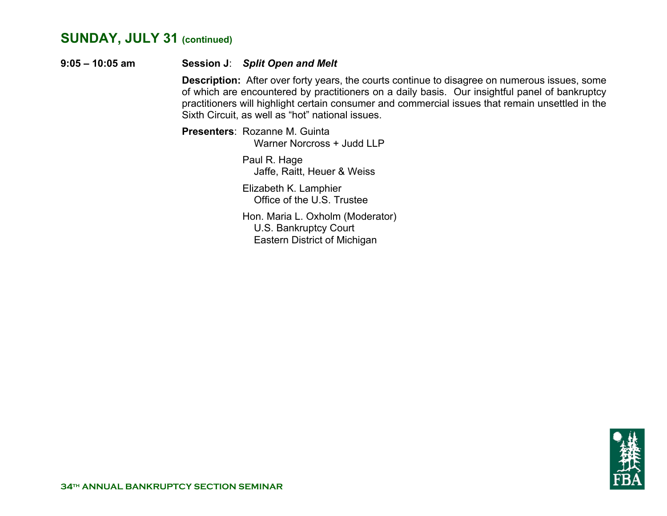#### **9:05 – 10:05 am Session J**: *Split Open and Melt*

 **Description:** After over forty years, the courts continue to disagree on numerous issues, some of which are encountered by practitioners on a daily basis. Our insightful panel of bankruptcy practitioners will highlight certain consumer and commercial issues that remain unsettled in the Sixth Circuit, as well as "hot" national issues.

**Presenters**: Rozanne M. Guinta Warner Norcross + Judd LLP

> Paul R. Hage Jaffe, Raitt, Heuer & Weiss

 Elizabeth K. Lamphier Office of the U.S. Trustee

 Hon. Maria L. Oxholm (Moderator) U.S. Bankruptcy Court Eastern District of Michigan

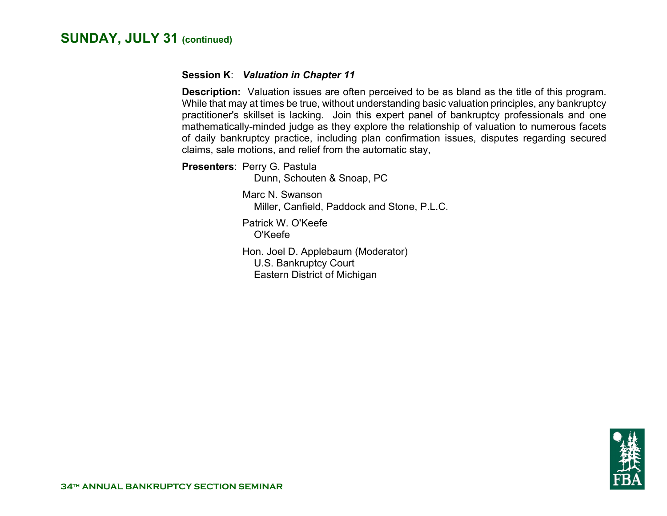#### **Session K**: *Valuation in Chapter 11*

 **Description:** Valuation issues are often perceived to be as bland as the title of this program. While that may at times be true, without understanding basic valuation principles, any bankruptcy practitioner's skillset is lacking. Join this expert panel of bankruptcy professionals and one mathematically-minded judge as they explore the relationship of valuation to numerous facets of daily bankruptcy practice, including plan confirmation issues, disputes regarding secured claims, sale motions, and relief from the automatic stay,

 **Presenters**: Perry G. Pastula

Dunn, Schouten & Snoap, PC

 Marc N. Swanson Miller, Canfield, Paddock and Stone, P.L.C.

 Patrick W. O'Keefe O'Keefe

 Hon. Joel D. Applebaum (Moderator) U.S. Bankruptcy Court Eastern District of Michigan

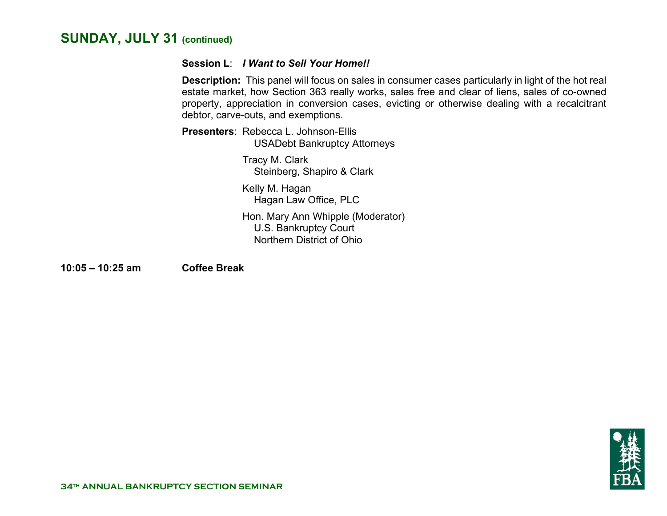#### **Session L**: *I Want to Sell Your Home!!*

 **Description:** This panel will focus on sales in consumer cases particularly in light of the hot real estate market, how Section 363 really works, sales free and clear of liens, sales of co-owned property, appreciation in conversion cases, evicting or otherwise dealing with a recalcitrant debtor, carve-outs, and exemptions.

**Presenters**: Rebecca L. Johnson-EllisUSADebt Bankruptcy Attorneys

> Tracy M. Clark Steinberg, Shapiro & Clark

 Kelly M. Hagan Hagan Law Office, PLC

 Hon. Mary Ann Whipple (Moderator) U.S. Bankruptcy Court Northern District of Ohio

**10:05 – 10:25 am Coffee Break** 

《糊书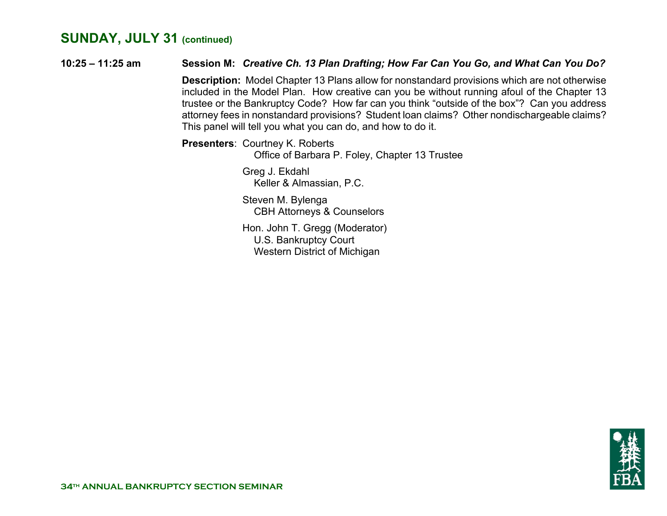**10:25 – 11:25 am Session M:** *Creative Ch. 13 Plan Drafting; How Far Can You Go, and What Can You Do?*  **Description:** Model Chapter 13 Plans allow for nonstandard provisions which are not otherwise included in the Model Plan. How creative can you be without running afoul of the Chapter 13 trustee or the Bankruptcy Code? How far can you think "outside of the box"? Can you address attorney fees in nonstandard provisions? Student loan claims? Other nondischargeable claims? This panel will tell you what you can do, and how to do it. **Presenters**: Courtney K. Roberts Office of Barbara P. Foley, Chapter 13 Trustee Greg J. Ekdahl

Keller & Almassian, P.C.

 Steven M. Bylenga CBH Attorneys & Counselors

 Hon. John T. Gregg (Moderator) U.S. Bankruptcy Court Western District of Michigan

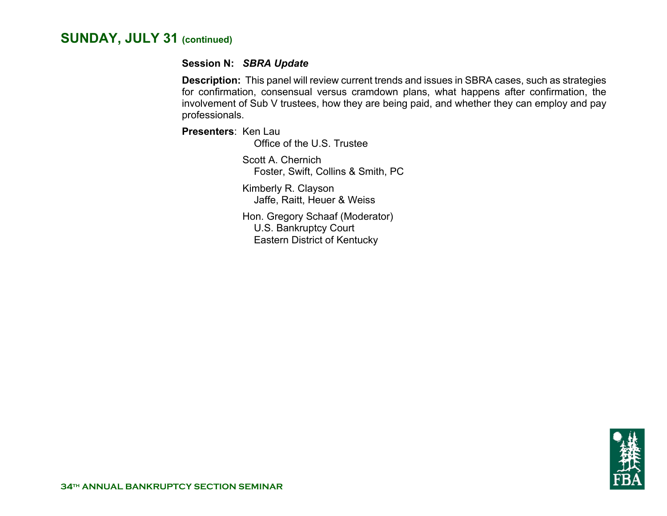#### **Session N:** *SBRA Update*

 **Description:** This panel will review current trends and issues in SBRA cases, such as strategies for confirmation, consensual versus cramdown plans, what happens after confirmation, the involvement of Sub V trustees, how they are being paid, and whether they can employ and pay professionals.

**Presenters**: Ken Lau

Office of the U.S. Trustee

 Scott A. Chernich Foster, Swift, Collins & Smith, PC

 Kimberly R. Clayson Jaffe, Raitt, Heuer & Weiss

 Hon. Gregory Schaaf (Moderator) U.S. Bankruptcy Court Eastern District of Kentucky

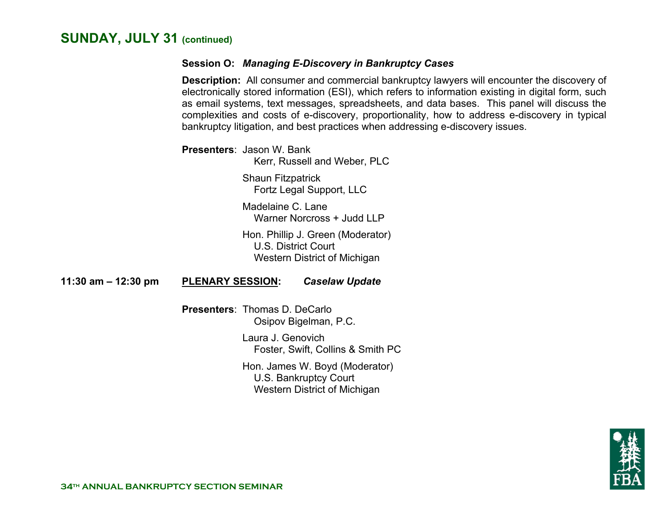#### **Session O:** *Managing E-Discovery in Bankruptcy Cases*

 **Description:** All consumer and commercial bankruptcy lawyers will encounter the discovery of electronically stored information (ESI), which refers to information existing in digital form, such as email systems, text messages, spreadsheets, and data bases. This panel will discuss the complexities and costs of e-discovery, proportionality, how to address e-discovery in typical bankruptcy litigation, and best practices when addressing e-discovery issues.

**Presenters**: Jason W. Bank

Kerr, Russell and Weber, PLC

 Shaun Fitzpatrick Fortz Legal Support, LLC

Madelaine C. Lane Warner Norcross + Judd LLP

 Hon. Phillip J. Green (Moderator) U.S. District Court Western District of Michigan

**11:30 am – 12:30 pm PLENARY SESSION:** *Caselaw Update*

**Presenters**: Thomas D. DeCarlo Osipov Bigelman, P.C.

> Laura J. Genovich Foster, Swift, Collins & Smith PC

 Hon. James W. Boyd (Moderator) U.S. Bankruptcy Court Western District of Michigan